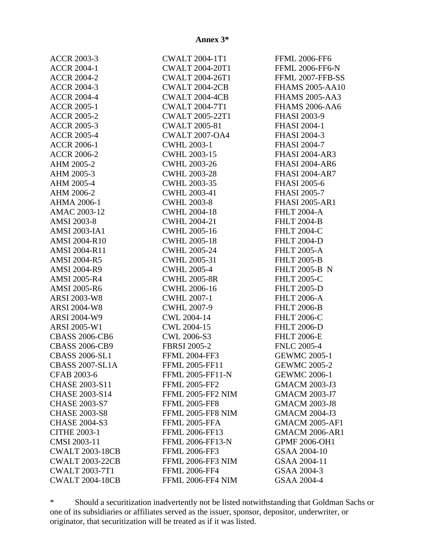| <b>ACCR 2003-3</b>     | <b>CWALT 2004-1T1</b>    | <b>FFML 2006-FF6</b>   |
|------------------------|--------------------------|------------------------|
| <b>ACCR 2004-1</b>     | <b>CWALT 2004-20T1</b>   | <b>FFML 2006-FF6-N</b> |
| <b>ACCR 2004-2</b>     | <b>CWALT 2004-26T1</b>   | FFML 2007-FFB-SS       |
| <b>ACCR 2004-3</b>     | <b>CWALT 2004-2CB</b>    | <b>FHAMS 2005-AA10</b> |
| <b>ACCR 2004-4</b>     | CWALT 2004-4CB           | <b>FHAMS 2005-AA3</b>  |
| <b>ACCR 2005-1</b>     | <b>CWALT 2004-7T1</b>    | <b>FHAMS 2006-AA6</b>  |
| <b>ACCR 2005-2</b>     | <b>CWALT 2005-22T1</b>   | <b>FHASI 2003-9</b>    |
| <b>ACCR 2005-3</b>     | <b>CWALT 2005-81</b>     | <b>FHASI 2004-1</b>    |
| <b>ACCR 2005-4</b>     | <b>CWALT 2007-OA4</b>    | <b>FHASI 2004-3</b>    |
| <b>ACCR 2006-1</b>     | <b>CWHL 2003-1</b>       | <b>FHASI 2004-7</b>    |
| <b>ACCR 2006-2</b>     | <b>CWHL 2003-15</b>      | <b>FHASI 2004-AR3</b>  |
| AHM 2005-2             | <b>CWHL 2003-26</b>      | <b>FHASI 2004-AR6</b>  |
| AHM 2005-3             | <b>CWHL 2003-28</b>      | <b>FHASI 2004-AR7</b>  |
| AHM 2005-4             | <b>CWHL 2003-35</b>      | <b>FHASI 2005-6</b>    |
| AHM 2006-2             | CWHL 2003-41             | <b>FHASI 2005-7</b>    |
| AHMA 2006-1            | <b>CWHL 2003-8</b>       | <b>FHASI 2005-AR1</b>  |
| AMAC 2003-12           | <b>CWHL 2004-18</b>      | <b>FHLT 2004-A</b>     |
| <b>AMSI 2003-8</b>     | <b>CWHL 2004-21</b>      | <b>FHLT 2004-B</b>     |
| <b>AMSI 2003-IA1</b>   | <b>CWHL 2005-16</b>      | <b>FHLT 2004-C</b>     |
| <b>AMSI 2004-R10</b>   | <b>CWHL 2005-18</b>      | <b>FHLT 2004-D</b>     |
| AMSI 2004-R11          | <b>CWHL 2005-24</b>      | <b>FHLT 2005-A</b>     |
| <b>AMSI 2004-R5</b>    | CWHL 2005-31             | <b>FHLT 2005-B</b>     |
| <b>AMSI 2004-R9</b>    | <b>CWHL 2005-4</b>       | <b>FHLT 2005-B N</b>   |
| <b>AMSI 2005-R4</b>    | <b>CWHL 2005-8R</b>      | <b>FHLT 2005-C</b>     |
| <b>AMSI 2005-R6</b>    | <b>CWHL 2006-16</b>      | <b>FHLT 2005-D</b>     |
| <b>ARSI 2003-W8</b>    | <b>CWHL 2007-1</b>       | <b>FHLT 2006-A</b>     |
| <b>ARSI 2004-W8</b>    | <b>CWHL 2007-9</b>       | <b>FHLT 2006-B</b>     |
| ARSI 2004-W9           | CWL 2004-14              | <b>FHLT 2006-C</b>     |
| ARSI 2005-W1           | CWL 2004-15              | <b>FHLT 2006-D</b>     |
| <b>CBASS 2006-CB6</b>  | <b>CWL 2006-S3</b>       | <b>FHLT 2006-E</b>     |
| <b>CBASS 2006-CB9</b>  | <b>FBRSI 2005-2</b>      | <b>FNLC 2005-4</b>     |
| <b>CBASS 2006-SL1</b>  | <b>FFML 2004-FF3</b>     | <b>GEWMC 2005-1</b>    |
| <b>CBASS 2007-SL1A</b> | FFML 2005-FF11           | <b>GEWMC 2005-2</b>    |
| <b>CFAB 2003-6</b>     | FFML 2005-FF11-N         | <b>GEWMC 2006-1</b>    |
| CHASE 2003-S11         | <b>FFML 2005-FF2</b>     | <b>GMACM 2003-J3</b>   |
| <b>CHASE 2003-S14</b>  | <b>FFML 2005-FF2 NIM</b> | <b>GMACM 2003-J7</b>   |
| <b>CHASE 2003-S7</b>   | <b>FFML 2005-FF8</b>     | <b>GMACM 2003-J8</b>   |
| <b>CHASE 2003-S8</b>   | FFML 2005-FF8 NIM        | <b>GMACM 2004-J3</b>   |
| <b>CHASE 2004-S3</b>   | FFML 2005-FFA            | <b>GMACM 2005-AF1</b>  |
| <b>CITHE 2003-1</b>    | <b>FFML 2006-FF13</b>    | <b>GMACM 2006-AR1</b>  |
| CMSI 2003-11           | FFML 2006-FF13-N         | GPMF 2006-OH1          |
| <b>CWALT 2003-18CB</b> | <b>FFML 2006-FF3</b>     | GSAA 2004-10           |
| <b>CWALT 2003-22CB</b> | FFML 2006-FF3 NIM        | GSAA 2004-11           |
| <b>CWALT 2003-7T1</b>  | <b>FFML 2006-FF4</b>     | GSAA 2004-3            |
| <b>CWALT 2004-18CB</b> | FFML 2006-FF4 NIM        | <b>GSAA 2004-4</b>     |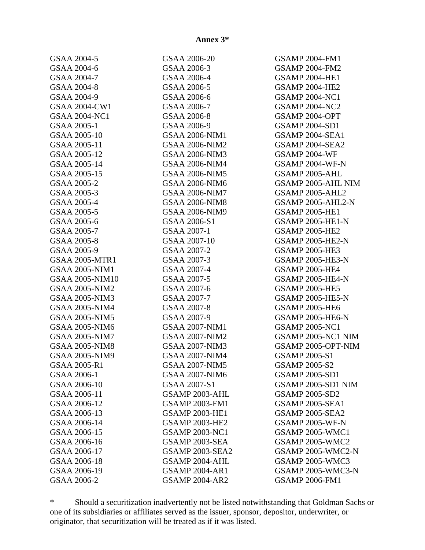| GSAA 2004-5            | GSAA 2006-20          | <b>GSAMP 2004-FM1</b>   |
|------------------------|-----------------------|-------------------------|
| GSAA 2004-6            | GSAA 2006-3           | <b>GSAMP 2004-FM2</b>   |
| GSAA 2004-7            | GSAA 2006-4           | <b>GSAMP 2004-HE1</b>   |
| GSAA 2004-8            | GSAA 2006-5           | <b>GSAMP 2004-HE2</b>   |
| GSAA 2004-9            | GSAA 2006-6           | <b>GSAMP 2004-NC1</b>   |
| GSAA 2004-CW1          | GSAA 2006-7           | <b>GSAMP 2004-NC2</b>   |
| <b>GSAA 2004-NC1</b>   | GSAA 2006-8           | GSAMP 2004-OPT          |
| GSAA 2005-1            | GSAA 2006-9           | <b>GSAMP 2004-SD1</b>   |
| GSAA 2005-10           | <b>GSAA 2006-NIM1</b> | <b>GSAMP 2004-SEA1</b>  |
| GSAA 2005-11           | <b>GSAA 2006-NIM2</b> | GSAMP 2004-SEA2         |
| GSAA 2005-12           | <b>GSAA 2006-NIM3</b> | <b>GSAMP 2004-WF</b>    |
| GSAA 2005-14           | <b>GSAA 2006-NIM4</b> | GSAMP 2004-WF-N         |
| GSAA 2005-15           | <b>GSAA 2006-NIM5</b> | GSAMP 2005-AHL          |
| GSAA 2005-2            | <b>GSAA 2006-NIM6</b> | GSAMP 2005-AHL NIM      |
| GSAA 2005-3            | <b>GSAA 2006-NIM7</b> | GSAMP 2005-AHL2         |
| <b>GSAA 2005-4</b>     | <b>GSAA 2006-NIM8</b> | GSAMP 2005-AHL2-N       |
| GSAA 2005-5            | <b>GSAA 2006-NIM9</b> | <b>GSAMP 2005-HE1</b>   |
| GSAA 2005-6            | GSAA 2006-S1          | <b>GSAMP 2005-HE1-N</b> |
| GSAA 2005-7            | GSAA 2007-1           | <b>GSAMP 2005-HE2</b>   |
| GSAA 2005-8            | GSAA 2007-10          | <b>GSAMP 2005-HE2-N</b> |
| GSAA 2005-9            | GSAA 2007-2           | <b>GSAMP 2005-HE3</b>   |
| <b>GSAA 2005-MTR1</b>  | GSAA 2007-3           | <b>GSAMP 2005-HE3-N</b> |
| <b>GSAA 2005-NIM1</b>  | GSAA 2007-4           | <b>GSAMP 2005-HE4</b>   |
| <b>GSAA 2005-NIM10</b> | GSAA 2007-5           | <b>GSAMP 2005-HE4-N</b> |
| <b>GSAA 2005-NIM2</b>  | GSAA 2007-6           | <b>GSAMP 2005-HE5</b>   |
| <b>GSAA 2005-NIM3</b>  | GSAA 2007-7           | <b>GSAMP 2005-HE5-N</b> |
| <b>GSAA 2005-NIM4</b>  | GSAA 2007-8           | <b>GSAMP 2005-HE6</b>   |
| <b>GSAA 2005-NIM5</b>  | GSAA 2007-9           | <b>GSAMP 2005-HE6-N</b> |
| <b>GSAA 2005-NIM6</b>  | <b>GSAA 2007-NIM1</b> | <b>GSAMP 2005-NC1</b>   |
| <b>GSAA 2005-NIM7</b>  | <b>GSAA 2007-NIM2</b> | GSAMP 2005-NC1 NIM      |
| <b>GSAA 2005-NIM8</b>  | <b>GSAA 2007-NIM3</b> | GSAMP 2005-OPT-NIM      |
| <b>GSAA 2005-NIM9</b>  | <b>GSAA 2007-NIM4</b> | <b>GSAMP 2005-S1</b>    |
| GSAA 2005-R1           | <b>GSAA 2007-NIM5</b> | <b>GSAMP 2005-S2</b>    |
| GSAA 2006-1            | <b>GSAA 2007-NIM6</b> | <b>GSAMP 2005-SD1</b>   |
| GSAA 2006-10           | GSAA 2007-S1          | GSAMP 2005-SD1 NIM      |
| GSAA 2006-11           | GSAMP 2003-AHL        | <b>GSAMP 2005-SD2</b>   |
| GSAA 2006-12           | <b>GSAMP 2003-FM1</b> | <b>GSAMP 2005-SEA1</b>  |
| GSAA 2006-13           | <b>GSAMP 2003-HE1</b> | <b>GSAMP 2005-SEA2</b>  |
| GSAA 2006-14           | <b>GSAMP 2003-HE2</b> | <b>GSAMP 2005-WF-N</b>  |
| GSAA 2006-15           | <b>GSAMP 2003-NC1</b> | <b>GSAMP 2005-WMC1</b>  |
| GSAA 2006-16           | GSAMP 2003-SEA        | <b>GSAMP 2005-WMC2</b>  |
| GSAA 2006-17           | GSAMP 2003-SEA2       | GSAMP 2005-WMC2-N       |
| GSAA 2006-18           | GSAMP 2004-AHL        | <b>GSAMP 2005-WMC3</b>  |
| GSAA 2006-19           | <b>GSAMP 2004-AR1</b> | GSAMP 2005-WMC3-N       |
| GSAA 2006-2            | <b>GSAMP 2004-AR2</b> | <b>GSAMP 2006-FM1</b>   |
|                        |                       |                         |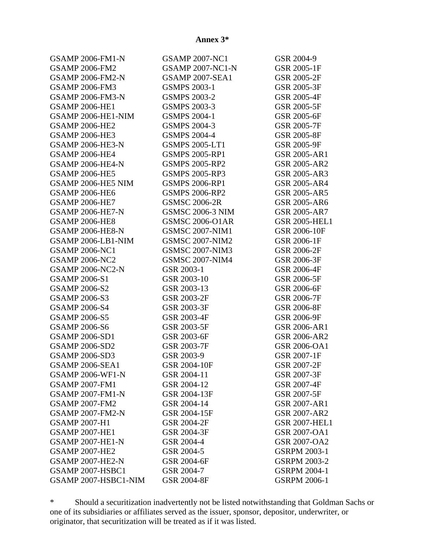| <b>GSAMP 2006-FM1-N</b> | <b>GSAMP 2007-NC1</b>   | GSR 2004-9           |
|-------------------------|-------------------------|----------------------|
| <b>GSAMP 2006-FM2</b>   | <b>GSAMP 2007-NC1-N</b> | GSR 2005-1F          |
| <b>GSAMP 2006-FM2-N</b> | <b>GSAMP 2007-SEA1</b>  | <b>GSR 2005-2F</b>   |
| <b>GSAMP 2006-FM3</b>   | <b>GSMPS 2003-1</b>     | GSR 2005-3F          |
| <b>GSAMP 2006-FM3-N</b> | <b>GSMPS 2003-2</b>     | <b>GSR 2005-4F</b>   |
| <b>GSAMP 2006-HE1</b>   | <b>GSMPS 2003-3</b>     | GSR 2005-5F          |
| GSAMP 2006-HE1-NIM      | <b>GSMPS 2004-1</b>     | GSR 2005-6F          |
| <b>GSAMP 2006-HE2</b>   | <b>GSMPS 2004-3</b>     | <b>GSR 2005-7F</b>   |
| <b>GSAMP 2006-HE3</b>   | <b>GSMPS 2004-4</b>     | <b>GSR 2005-8F</b>   |
| <b>GSAMP 2006-HE3-N</b> | <b>GSMPS 2005-LT1</b>   | <b>GSR 2005-9F</b>   |
| <b>GSAMP 2006-HE4</b>   | <b>GSMPS 2005-RP1</b>   | <b>GSR 2005-AR1</b>  |
| <b>GSAMP 2006-HE4-N</b> | <b>GSMPS 2005-RP2</b>   | <b>GSR 2005-AR2</b>  |
| <b>GSAMP 2006-HE5</b>   | <b>GSMPS 2005-RP3</b>   | <b>GSR 2005-AR3</b>  |
| GSAMP 2006-HE5 NIM      | <b>GSMPS 2006-RP1</b>   | <b>GSR 2005-AR4</b>  |
| <b>GSAMP 2006-HE6</b>   | <b>GSMPS 2006-RP2</b>   | <b>GSR 2005-AR5</b>  |
| <b>GSAMP 2006-HE7</b>   | <b>GSMSC 2006-2R</b>    | <b>GSR 2005-AR6</b>  |
| <b>GSAMP 2006-HE7-N</b> | <b>GSMSC 2006-3 NIM</b> | <b>GSR 2005-AR7</b>  |
| <b>GSAMP 2006-HE8</b>   | <b>GSMSC 2006-O1AR</b>  | <b>GSR 2005-HEL1</b> |
| <b>GSAMP 2006-HE8-N</b> | <b>GSMSC 2007-NIM1</b>  | GSR 2006-10F         |
| GSAMP 2006-LB1-NIM      | <b>GSMSC 2007-NIM2</b>  | GSR 2006-1F          |
| <b>GSAMP 2006-NC1</b>   | <b>GSMSC 2007-NIM3</b>  | <b>GSR 2006-2F</b>   |
| <b>GSAMP 2006-NC2</b>   | <b>GSMSC 2007-NIM4</b>  | GSR 2006-3F          |
| <b>GSAMP 2006-NC2-N</b> | GSR 2003-1              | GSR 2006-4F          |
| <b>GSAMP 2006-S1</b>    | GSR 2003-10             | GSR 2006-5F          |
| <b>GSAMP 2006-S2</b>    | GSR 2003-13             | GSR 2006-6F          |
| <b>GSAMP 2006-S3</b>    | <b>GSR 2003-2F</b>      | <b>GSR 2006-7F</b>   |
| <b>GSAMP 2006-S4</b>    | GSR 2003-3F             | <b>GSR 2006-8F</b>   |
| <b>GSAMP 2006-S5</b>    | GSR 2003-4F             | GSR 2006-9F          |
| <b>GSAMP 2006-S6</b>    | GSR 2003-5F             | <b>GSR 2006-AR1</b>  |
| <b>GSAMP 2006-SD1</b>   | GSR 2003-6F             | <b>GSR 2006-AR2</b>  |
| <b>GSAMP 2006-SD2</b>   | <b>GSR 2003-7F</b>      | GSR 2006-OA1         |
| <b>GSAMP 2006-SD3</b>   | GSR 2003-9              | GSR 2007-1F          |
| <b>GSAMP 2006-SEA1</b>  | GSR 2004-10F            | <b>GSR 2007-2F</b>   |
| <b>GSAMP 2006-WF1-N</b> | GSR 2004-11             | GSR 2007-3F          |
| <b>GSAMP 2007-FM1</b>   | GSR 2004-12             | <b>GSR 2007-4F</b>   |
| <b>GSAMP 2007-FM1-N</b> | GSR 2004-13F            | GSR 2007-5F          |
| <b>GSAMP 2007-FM2</b>   | GSR 2004-14             | <b>GSR 2007-AR1</b>  |
| <b>GSAMP 2007-FM2-N</b> | GSR 2004-15F            | <b>GSR 2007-AR2</b>  |
| <b>GSAMP 2007-H1</b>    | <b>GSR 2004-2F</b>      | <b>GSR 2007-HEL1</b> |
| <b>GSAMP 2007-HE1</b>   | <b>GSR 2004-3F</b>      | <b>GSR 2007-OA1</b>  |
| <b>GSAMP 2007-HE1-N</b> | GSR 2004-4              | <b>GSR 2007-OA2</b>  |
| <b>GSAMP 2007-HE2</b>   | GSR 2004-5              | <b>GSRPM 2003-1</b>  |
| <b>GSAMP 2007-HE2-N</b> | GSR 2004-6F             | <b>GSRPM 2003-2</b>  |
| GSAMP 2007-HSBC1        | GSR 2004-7              | <b>GSRPM 2004-1</b>  |
| GSAMP 2007-HSBC1-NIM    | <b>GSR 2004-8F</b>      | <b>GSRPM 2006-1</b>  |